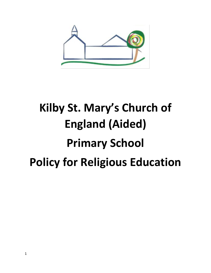

# **Kilby St. Mary's Church of England (Aided) Primary School Policy for Religious Education**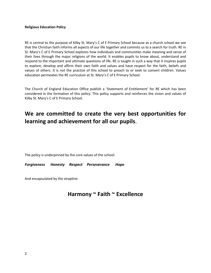#### **Religious Education Policy**

RE is central to the purpose of Kilby St. Mary's C of E Primary School because as a church school we see that the Christian faith informs all aspects of our life together and commits us to a search for truth. RE in St. Mary's C of E Primary School explores how individuals and communities make meaning and sense of their lives through the major religions of the world. It enables pupils to know about, understand and respond to the important and ultimate questions of life. RE is taught in such a way that it inspires pupils to explore, develop and affirm their own faith and values and have respect for the faith, beliefs and values of others. It is not the practice of this school to preach to or seek to convert children. Values education permeates the RE curriculum at St. Mary's C of E Primary School.

The Church of England Education Office publish a 'Statement of Entitlement' for RE which has been considered in the formation of this policy. This policy supports and reinforces the vision and values of Kilby St. Mary's C of E Primary School.

## **We are committed to create the very best opportunities for learning and achievement for all our pupils**.

The policy is underpinned by the core values of the school:

*Forgiveness Honesty Respect Perseverance Hope* 

And encapsulated by the strapline:

### **Harmony ~ Faith ~ Excellence**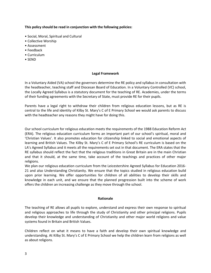**This policy should be read in conjunction with the following policies:** 

- Social, Moral, Spiritual and Cultural
- Collective Worship
- Assessment
- Feedback
- Curriculum
- SEND

#### **Legal Framework**

In a Voluntary Aided (VA) school the governors determine the RE policy and syllabus in consultation with the headteacher, teaching staff and Diocesan Board of Education. In a Voluntary Controlled (VC) school, the Locally Agreed Syllabus is a statutory document for the teaching of RE. Academies, under the terms of their funding agreements with the Secretary of State, must provide RE for their pupils.

Parents have a legal right to withdraw their children from religious education lessons, but as RE is central to the life and identity of Kilby St. Mary's C of E Primary School we would ask parents to discuss with the headteacher any reasons they might have for doing this.

Our school curriculum for religious education meets the requirements of the 1988 Education Reform Act (ERA). The religious education curriculum forms an important part of our school's spiritual, moral and 'Christian Values'. It also promotes education for citizenship linked to social and emotional aspects of learning and British Values. The Kilby St. Mary's C of E Primary School's RE curriculum is based on the LA's Agreed Syllabus and it meets all the requirements set out in that document. The ERA states that the RE syllabus should reflect the fact that the religious traditions in Great Britain are in the main Christian and that it should, at the same time, take account of the teachings and practices of other major religions.

We plan our religious education curriculum from the Leicestershire Agreed Syllabus for Education 2016- 21 and also Understanding Christianity. We ensure that the topics studied in religious education build upon prior learning. We offer opportunities for children of all abilities to develop their skills and knowledge in each unit, and we ensure that the planned progression built into the scheme of work offers the children an increasing challenge as they move through the school.

#### **Rationale**

The teaching of RE allows all pupils to explore, understand and express their own response to spiritual and religious approaches to life through the study of Christianity and other principal religions. Pupils develop their knowledge and understanding of Christianity and other major world religions and value systems found in Britain and British Values.

Children reflect on what it means to have a faith and develop their own spiritual knowledge and understanding. At Kilby St. Mary's C of E Primary School we help the children learn from religions as well as about religions.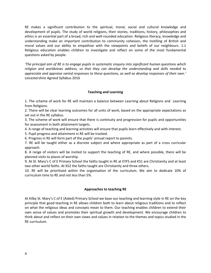RE makes a significant contribution to the spiritual, moral, social and cultural knowledge and development of pupils. The study of world religions, their stories, traditions, history, philosophies and ethics is an essential part of a broad, rich and well-rounded education. Religious literacy, knowledge and understanding make an important contribution to community cohesion, the instilling of British and moral values and our ability to empathise with the viewpoints and beliefs of our neighbours. 1.1 Religious education enables children to investigate and reflect on some of the most fundamental questions asked by people.

*'The principal aim of RE is to engage pupils in systematic enquiry into significant human questions which religion and worldviews address, so that they can develop the understanding and skills needed to appreciate and appraise varied responses to these questions, as well as develop responses of their own.'* Leicestershire Agreed Syllabus 2016

#### **Teaching and Learning**

1. The scheme of work for RE will maintain a balance between Learning about Religions and Learning from Religions.

2. There will be clear learning outcomes for all units of work, based on the appropriate expectations as set out in the RE syllabus.

3. The scheme of work will ensure that there is continuity and progression for pupils and opportunities for assessment in both attainment targets.

4. A range of teaching and learning activities will ensure that pupils learn effectively and with interest.

5. Pupil progress and attainment in RE will be tracked.

6. Progress in RE will form part of the pupils' annual report to parents.

7. RE will be taught either as a discrete subject and where appropriate as part of a cross curricular approach.

8. A range of visitors will be invited to support the teaching of RE, and where possible, there will be planned visits to places of worship.

9. At St. Mary's C of E Primary School the faiths taught in RE at EYFS and KS1 are Christianity and at least two other world faiths. At KS2 the faiths taught are Christianity and three others.

10. RE will be prioritised within the organisation of the curriculum. We aim to dedicate 10% of curriculum time to RE and not less than 5%.

#### **Approaches to teaching RE**

At Kilby St. Mary's C of E (Aided) Primary School we base our teaching and learning style in RE on the key principle that good teaching in RE allows children both to learn about religious traditions and to reflect on what the religious ideas and concepts mean to them. Our teaching enables children to extend their own sense of values and promotes their spiritual growth and development. We encourage children to think about and reflect on their own views and values in relation to the themes and topics studied in the RE curriculum.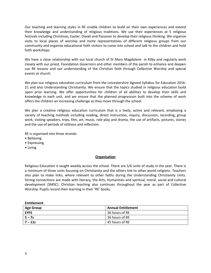Our teaching and learning styles in RE enable children to build on their own experiences and extend their knowledge and understanding of religious traditions. We use their experiences at 5 religious festivals including Christmas, Easter, Diwali and Passover to develop their religious thinking. We organise visits to local places of worship and invite representatives of different religious groups from our community and organise educational faith visitors to come into school and talk to the children and hold faith workshops.

We have a close relationship with our local church of St Mary Magdalene in Kilby and regularly work closely with our priest, Foundation Governors and other members of the parish to enhance and deepen our RE lessons and our understanding of the Christian faith through Collective Worship and special events at church.

We plan our religious education curriculum from the Leicestershire Agreed Syllabus for Education 2016- 21 and also Understanding Christianity. We ensure that the topics studied in religious education build upon prior learning. We offer opportunities for children of all abilities to develop their skills and knowledge in each unit, and we ensure that the planned progression built into the scheme of work offers the children an increasing challenge as they move through the school.

We plan a creative religious education curriculum that is a lively, active and relevant, employing a variety of teaching methods including reading, direct instruction, inquiry, discussion, recording, group work, visiting speakers, trips, film, art, music, role play and drama, the use of artifacts, pictures, stories and the use of periods of stillness and reflection.

RE is organised into three strands:

- Believing
- Expressing

**Entitlement** 

• Living

#### **Organisation**

Religious Education is taught weekly across the school. There are 5/6 units of study in the year. There is a minimum of three units focusing on Christianity and the others link to other world religions. Teachers also plan to make links, where relevant to other faiths during the Understanding Christianity Units. Strong connections are made with literacy, the Arts, Humanities and spiritual, moral, social and cultural development (SMSC). Christian teaching also continues throughout the year as part of Collective Worship. Pupils record their learning in their 'RE' books.

| <b>LIIUUCIIICIIL</b> |                           |
|----------------------|---------------------------|
| <b>Age Group</b>     | <b>Annual Entitlement</b> |
| <b>EYFS</b>          | 36 hours of RE            |
| $5 - 7s$             | 36 hours of RE            |
| 7 – 11s              | 45 hours of RE            |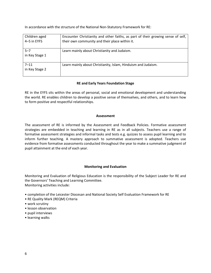In accordance with the structure of the National Non-Statutory Framework for RE:

| Children aged<br>4-5 in EYFS | Encounter Christianity and other faiths, as part of their growing sense of self,<br>their own community and their place within it. |
|------------------------------|------------------------------------------------------------------------------------------------------------------------------------|
| $5 - 7$<br>in Key Stage 1    | Learn mainly about Christianity and Judaism.                                                                                       |
| $7 - 11$<br>in Key Stage 2   | Learn mainly about Christianity, Islam, Hinduism and Judaism.                                                                      |

#### **RE and Early Years Foundation Stage**

RE in the EYFS sits within the areas of personal, social and emotional development and understanding the world. RE enables children to develop a positive sense of themselves, and others, and to learn how to form positive and respectful relationships.

#### **Assessment**

The assessment of RE is informed by the Assessment and Feedback Policies. Formative assessment strategies are embedded in teaching and learning in RE as in all subjects. Teachers use a range of formative assessment strategies and informal tasks and tests e.g. quizzes to assess pupil learning and to inform further teaching. A mastery approach to summative assessment is adopted. Teachers use evidence from formative assessments conducted throughout the year to make a summative judgment of pupil attainment at the end of each year.

#### **Monitoring and Evaluation**

Monitoring and Evaluation of Religious Education is the responsibility of the Subject Leader for RE and the Governors' Teaching and Learning Committee. Monitoring activities include:

- completion of the Leicester Diocesan and National Society Self Evaluation Framework for RE
- RE Quality Mark (REQM) Criteria
- work scrutiny
- lesson observation
- pupil interviews
- learning walks